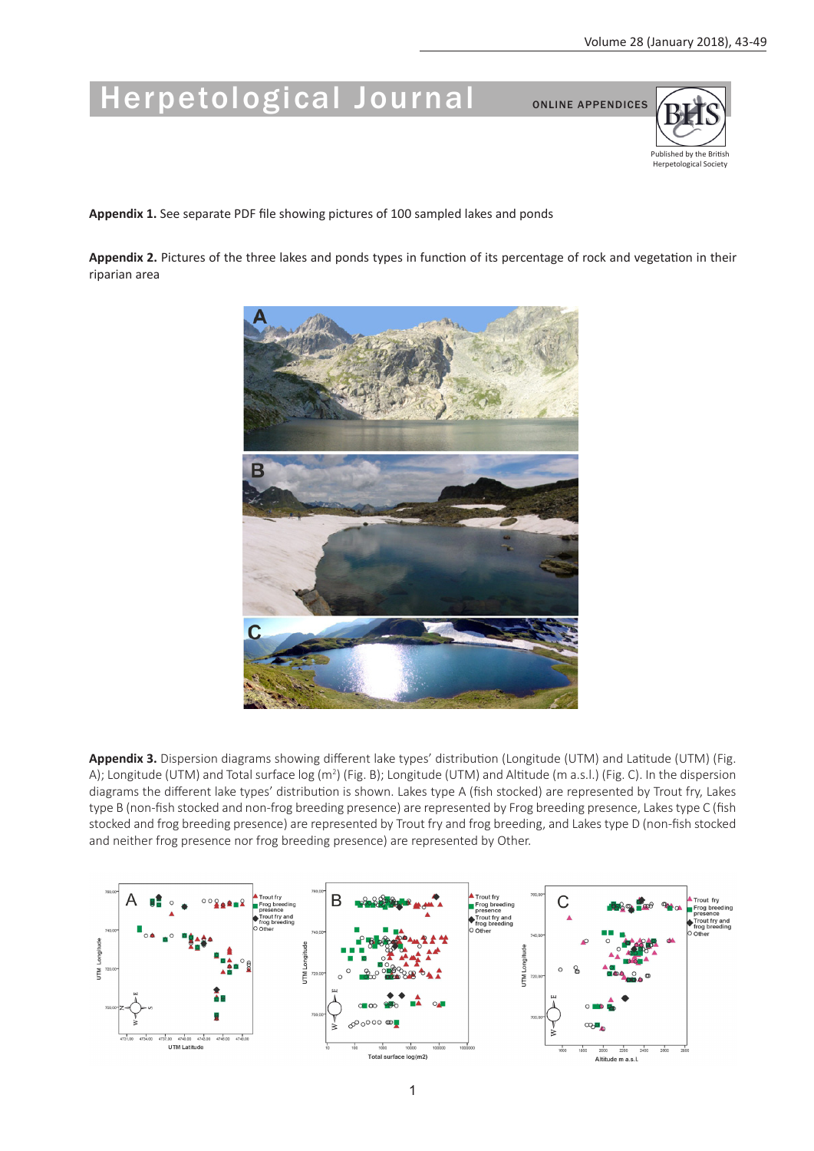## Herpetological Journal ONLINE APPENDICES



**Appendix 1.** See separate PDF file showing pictures of 100 sampled lakes and ponds

**Appendix 2.** Pictures of the three lakes and ponds types in function of its percentage of rock and vegetation in their riparian area



**Appendix 3.** Dispersion diagrams showing different lake types' distribution (Longitude (UTM) and Latitude (UTM) (Fig. A); Longitude (UTM) and Total surface log (m<sup>2</sup>) (Fig. B); Longitude (UTM) and Altitude (m a.s.l.) (Fig. C). In the dispersion diagrams the different lake types' distribution is shown. Lakes type A (fish stocked) are represented by Trout fry, Lakes type B (non-fish stocked and non-frog breeding presence) are represented by Frog breeding presence, Lakes type C (fish stocked and frog breeding presence) are represented by Trout fry and frog breeding, and Lakes type D (non-fish stocked and neither frog presence nor frog breeding presence) are represented by Other.